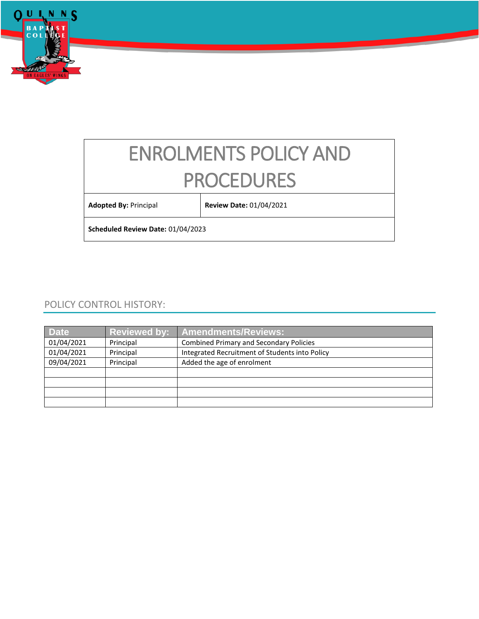

# ENROLMENTS POLICY AND PROCEDURES

**Adopted By:** Principal **Review Date:** 01/04/2021

**Scheduled Review Date:** 01/04/2023

# POLICY CONTROL HISTORY:

| <b>Date</b> | <b>Reviewed by:</b> | <b>Amendments/Reviews:</b>                     |
|-------------|---------------------|------------------------------------------------|
| 01/04/2021  | Principal           | <b>Combined Primary and Secondary Policies</b> |
| 01/04/2021  | Principal           | Integrated Recruitment of Students into Policy |
| 09/04/2021  | Principal           | Added the age of enrolment                     |
|             |                     |                                                |
|             |                     |                                                |
|             |                     |                                                |
|             |                     |                                                |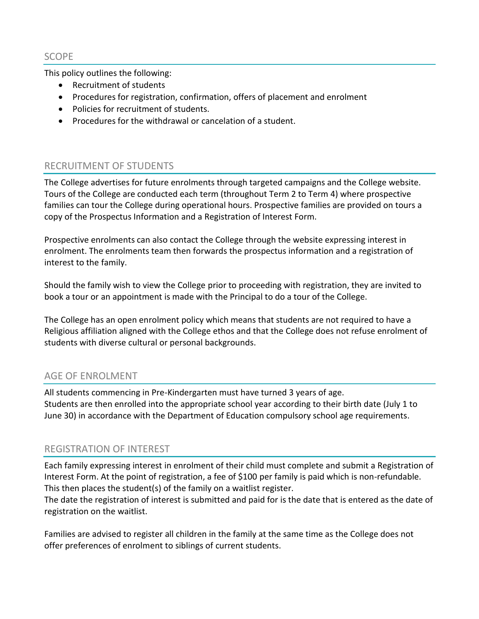SCOPE

This policy outlines the following:

- Recruitment of students
- Procedures for registration, confirmation, offers of placement and enrolment
- Policies for recruitment of students.
- Procedures for the withdrawal or cancelation of a student.

# RECRUITMENT OF STUDENTS

The College advertises for future enrolments through targeted campaigns and the College website. Tours of the College are conducted each term (throughout Term 2 to Term 4) where prospective families can tour the College during operational hours. Prospective families are provided on tours a copy of the Prospectus Information and a Registration of Interest Form.

Prospective enrolments can also contact the College through the website expressing interest in enrolment. The enrolments team then forwards the prospectus information and a registration of interest to the family.

Should the family wish to view the College prior to proceeding with registration, they are invited to book a tour or an appointment is made with the Principal to do a tour of the College.

The College has an open enrolment policy which means that students are not required to have a Religious affiliation aligned with the College ethos and that the College does not refuse enrolment of students with diverse cultural or personal backgrounds.

# AGE OF ENROLMENT

All students commencing in Pre-Kindergarten must have turned 3 years of age. Students are then enrolled into the appropriate school year according to their birth date (July 1 to June 30) in accordance with the Department of Education compulsory school age requirements.

# REGISTRATION OF INTEREST

Each family expressing interest in enrolment of their child must complete and submit a Registration of Interest Form. At the point of registration, a fee of \$100 per family is paid which is non-refundable. This then places the student(s) of the family on a waitlist register.

The date the registration of interest is submitted and paid for is the date that is entered as the date of registration on the waitlist.

Families are advised to register all children in the family at the same time as the College does not offer preferences of enrolment to siblings of current students.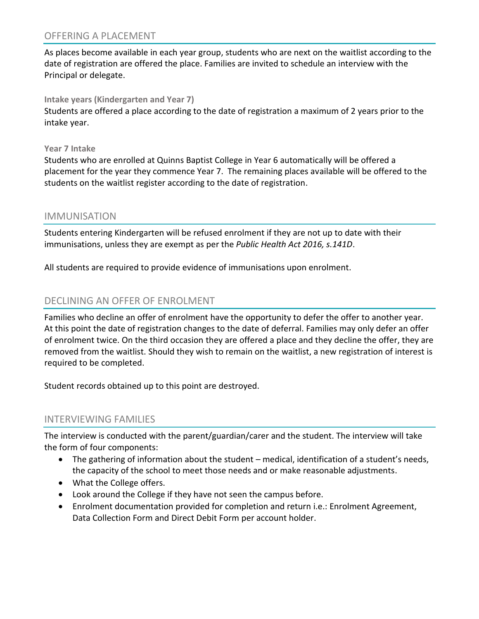## OFFERING A PLACEMENT

As places become available in each year group, students who are next on the waitlist according to the date of registration are offered the place. Families are invited to schedule an interview with the Principal or delegate.

### **Intake years (Kindergarten and Year 7)**

Students are offered a place according to the date of registration a maximum of 2 years prior to the intake year.

#### **Year 7 Intake**

Students who are enrolled at Quinns Baptist College in Year 6 automatically will be offered a placement for the year they commence Year 7. The remaining places available will be offered to the students on the waitlist register according to the date of registration.

## IMMUNISATION

Students entering Kindergarten will be refused enrolment if they are not up to date with their immunisations, unless they are exempt as per the *Public Health Act 2016, s.141D*.

All students are required to provide evidence of immunisations upon enrolment.

## DECLINING AN OFFER OF ENROLMENT

Families who decline an offer of enrolment have the opportunity to defer the offer to another year. At this point the date of registration changes to the date of deferral. Families may only defer an offer of enrolment twice. On the third occasion they are offered a place and they decline the offer, they are removed from the waitlist. Should they wish to remain on the waitlist, a new registration of interest is required to be completed.

Student records obtained up to this point are destroyed.

## INTERVIEWING FAMILIES

The interview is conducted with the parent/guardian/carer and the student. The interview will take the form of four components:

- The gathering of information about the student medical, identification of a student's needs, the capacity of the school to meet those needs and or make reasonable adjustments.
- What the College offers.
- Look around the College if they have not seen the campus before.
- Enrolment documentation provided for completion and return i.e.: Enrolment Agreement, Data Collection Form and Direct Debit Form per account holder.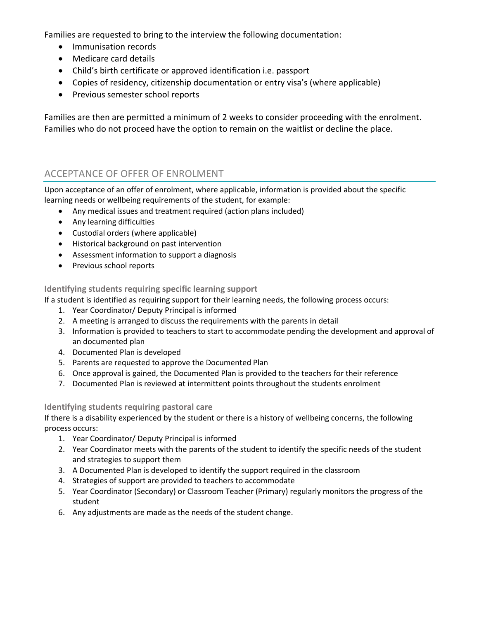Families are requested to bring to the interview the following documentation:

- Immunisation records
- Medicare card details
- Child's birth certificate or approved identification i.e. passport
- Copies of residency, citizenship documentation or entry visa's (where applicable)
- Previous semester school reports

Families are then are permitted a minimum of 2 weeks to consider proceeding with the enrolment. Families who do not proceed have the option to remain on the waitlist or decline the place.

# ACCEPTANCE OF OFFER OF ENROLMENT

Upon acceptance of an offer of enrolment, where applicable, information is provided about the specific learning needs or wellbeing requirements of the student, for example:

- Any medical issues and treatment required (action plans included)
- Any learning difficulties
- Custodial orders (where applicable)
- Historical background on past intervention
- Assessment information to support a diagnosis
- Previous school reports

### **Identifying students requiring specific learning support**

If a student is identified as requiring support for their learning needs, the following process occurs:

- 1. Year Coordinator/ Deputy Principal is informed
- 2. A meeting is arranged to discuss the requirements with the parents in detail
- 3. Information is provided to teachers to start to accommodate pending the development and approval of an documented plan
- 4. Documented Plan is developed
- 5. Parents are requested to approve the Documented Plan
- 6. Once approval is gained, the Documented Plan is provided to the teachers for their reference
- 7. Documented Plan is reviewed at intermittent points throughout the students enrolment

### **Identifying students requiring pastoral care**

If there is a disability experienced by the student or there is a history of wellbeing concerns, the following process occurs:

- 1. Year Coordinator/ Deputy Principal is informed
- 2. Year Coordinator meets with the parents of the student to identify the specific needs of the student and strategies to support them
- 3. A Documented Plan is developed to identify the support required in the classroom
- 4. Strategies of support are provided to teachers to accommodate
- 5. Year Coordinator (Secondary) or Classroom Teacher (Primary) regularly monitors the progress of the student
- 6. Any adjustments are made as the needs of the student change.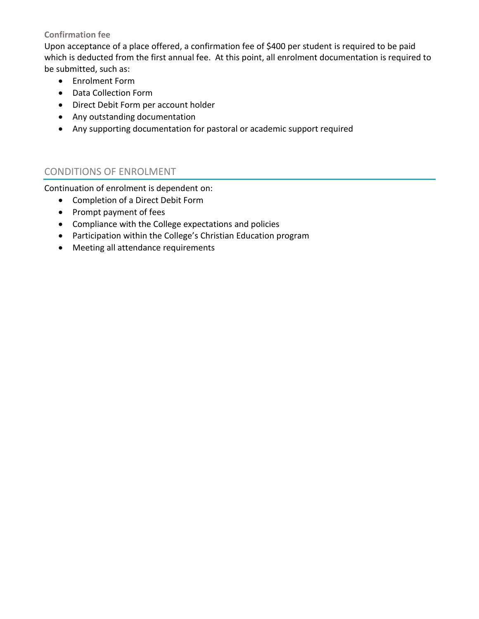## **Confirmation fee**

Upon acceptance of a place offered, a confirmation fee of \$400 per student is required to be paid which is deducted from the first annual fee. At this point, all enrolment documentation is required to be submitted, such as:

- Enrolment Form
- Data Collection Form
- Direct Debit Form per account holder
- Any outstanding documentation
- Any supporting documentation for pastoral or academic support required

# CONDITIONS OF ENROLMENT

Continuation of enrolment is dependent on:

- Completion of a Direct Debit Form
- Prompt payment of fees
- Compliance with the College expectations and policies
- Participation within the College's Christian Education program
- Meeting all attendance requirements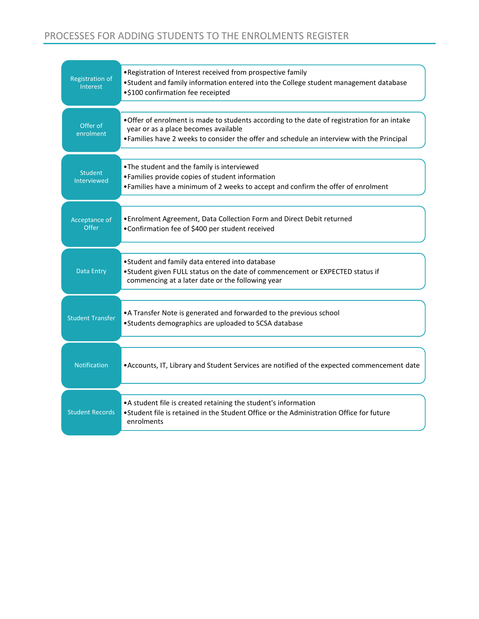# PROCESSES FOR ADDING STUDENTS TO THE ENROLMENTS REGISTER

| <b>Registration of</b><br>Interest   | . Registration of Interest received from prospective family<br>. Student and family information entered into the College student management database<br>•\$100 confirmation fee receipted                                          |  |
|--------------------------------------|------------------------------------------------------------------------------------------------------------------------------------------------------------------------------------------------------------------------------------|--|
| Offer of<br>enrolment                | . Offer of enrolment is made to students according to the date of registration for an intake<br>year or as a place becomes available<br>. Families have 2 weeks to consider the offer and schedule an interview with the Principal |  |
| <b>Student</b><br><b>Interviewed</b> | . The student and the family is interviewed<br>• Families provide copies of student information<br>. Families have a minimum of 2 weeks to accept and confirm the offer of enrolment                                               |  |
| Acceptance of<br>Offer               | . Enrolment Agreement, Data Collection Form and Direct Debit returned<br>•Confirmation fee of \$400 per student received                                                                                                           |  |
| Data Entry                           | • Student and family data entered into database<br>. Student given FULL status on the date of commencement or EXPECTED status if<br>commencing at a later date or the following year                                               |  |
| <b>Student Transfer</b>              | • A Transfer Note is generated and forwarded to the previous school<br>•Students demographics are uploaded to SCSA database                                                                                                        |  |
| <b>Notification</b>                  | • Accounts, IT, Library and Student Services are notified of the expected commencement date                                                                                                                                        |  |
| <b>Student Records</b>               | • A student file is created retaining the student's information<br>. Student file is retained in the Student Office or the Administration Office for future<br>enrolments                                                          |  |